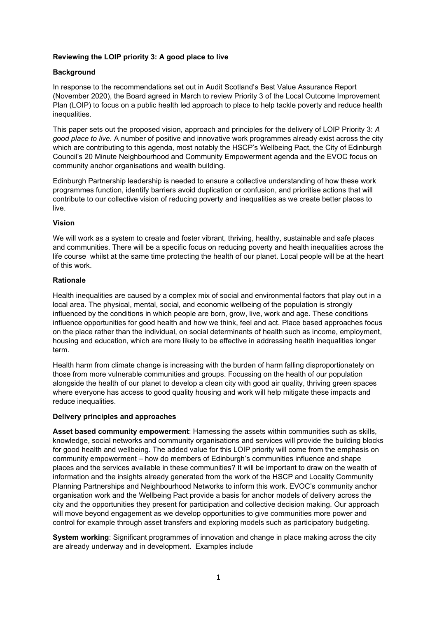# **Reviewing the LOIP priority 3: A good place to live**

# **Background**

In response to the recommendations set out in Audit Scotland's Best Value Assurance Report (November 2020), the Board agreed in March to review Priority 3 of the Local Outcome Improvement Plan (LOIP) to focus on a public health led approach to place to help tackle poverty and reduce health inequalities.

This paper sets out the proposed vision, approach and principles for the delivery of LOIP Priority 3: *A good place to live.* A number of positive and innovative work programmes already exist across the city which are contributing to this agenda, most notably the HSCP's Wellbeing Pact, the City of Edinburgh Council's 20 Minute Neighbourhood and Community Empowerment agenda and the EVOC focus on community anchor organisations and wealth building.

Edinburgh Partnership leadership is needed to ensure a collective understanding of how these work programmes function, identify barriers avoid duplication or confusion, and prioritise actions that will contribute to our collective vision of reducing poverty and inequalities as we create better places to live.

### **Vision**

We will work as a system to create and foster vibrant, thriving, healthy, sustainable and safe places and communities. There will be a specific focus on reducing poverty and health inequalities across the life course whilst at the same time protecting the health of our planet. Local people will be at the heart of this work.

### **Rationale**

Health inequalities are caused by a complex mix of social and environmental factors that play out in a local area. The physical, mental, social, and economic wellbeing of the population is strongly influenced by the conditions in which people are born, grow, live, work and age. These conditions influence opportunities for good health and how we think, feel and act. Place based approaches focus on the place rather than the individual, on social determinants of health such as income, employment, housing and education, which are more likely to be effective in addressing health inequalities longer term.

Health harm from climate change is increasing with the burden of harm falling disproportionately on those from more vulnerable communities and groups. Focussing on the health of our population alongside the health of our planet to develop a clean city with good air quality, thriving green spaces where everyone has access to good quality housing and work will help mitigate these impacts and reduce inequalities.

# **Delivery principles and approaches**

**Asset based community empowerment**: Harnessing the assets within communities such as skills, knowledge, social networks and community organisations and services will provide the building blocks for good health and wellbeing. The added value for this LOIP priority will come from the emphasis on community empowerment – how do members of Edinburgh's communities influence and shape places and the services available in these communities? It will be important to draw on the wealth of information and the insights already generated from the work of the HSCP and Locality Community Planning Partnerships and Neighbourhood Networks to inform this work. EVOC's community anchor organisation work and the Wellbeing Pact provide a basis for anchor models of delivery across the city and the opportunities they present for participation and collective decision making. Our approach will move beyond engagement as we develop opportunities to give communities more power and control for example through asset transfers and exploring models such as participatory budgeting.

**System working**: Significant programmes of innovation and change in place making across the city are already underway and in development. Examples include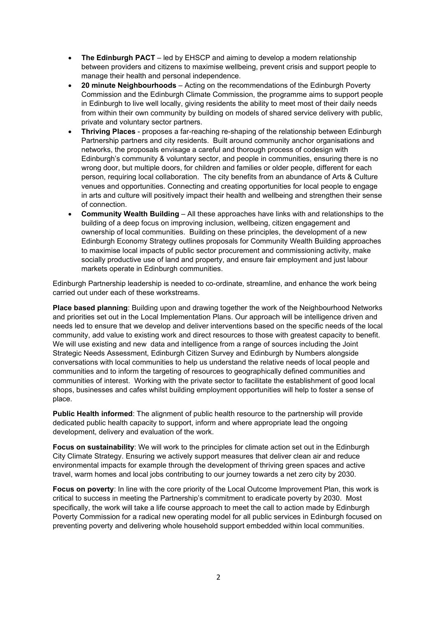- **The Edinburgh PACT** led by EHSCP and aiming to develop a modern relationship between providers and citizens to maximise wellbeing, prevent crisis and support people to manage their health and personal independence.
- **20 minute Neighbourhoods** Acting on the recommendations of the Edinburgh Poverty Commission and the Edinburgh Climate Commission, the programme aims to support people in Edinburgh to live well locally, giving residents the ability to meet most of their daily needs from within their own community by building on models of shared service delivery with public, private and voluntary sector partners.
- **Thriving Places** proposes a far-reaching re-shaping of the relationship between Edinburgh Partnership partners and city residents. Built around community anchor organisations and networks, the proposals envisage a careful and thorough process of codesign with Edinburgh's community & voluntary sector, and people in communities, ensuring there is no wrong door, but multiple doors, for children and families or older people, different for each person, requiring local collaboration. The city benefits from an abundance of Arts & Culture venues and opportunities. Connecting and creating opportunities for local people to engage in arts and culture will positively impact their health and wellbeing and strengthen their sense of connection.
- **Community Wealth Building** All these approaches have links with and relationships to the building of a deep focus on improving inclusion, wellbeing, citizen engagement and ownership of local communities. Building on these principles, the development of a new Edinburgh Economy Strategy outlines proposals for Community Wealth Building approaches to maximise local impacts of public sector procurement and commissioning activity, make socially productive use of land and property, and ensure fair employment and just labour markets operate in Edinburgh communities.

Edinburgh Partnership leadership is needed to co-ordinate, streamline, and enhance the work being carried out under each of these workstreams.

**Place based planning**: Building upon and drawing together the work of the Neighbourhood Networks and priorities set out in the Local Implementation Plans. Our approach will be intelligence driven and needs led to ensure that we develop and deliver interventions based on the specific needs of the local community, add value to existing work and direct resources to those with greatest capacity to benefit. We will use existing and new data and intelligence from a range of sources including the Joint Strategic Needs Assessment, Edinburgh Citizen Survey and Edinburgh by Numbers alongside conversations with local communities to help us understand the relative needs of local people and communities and to inform the targeting of resources to geographically defined communities and communities of interest. Working with the private sector to facilitate the establishment of good local shops, businesses and cafes whilst building employment opportunities will help to foster a sense of place.

**Public Health informed**: The alignment of public health resource to the partnership will provide dedicated public health capacity to support, inform and where appropriate lead the ongoing development, delivery and evaluation of the work.

**Focus on sustainability**: We will work to the principles for climate action set out in the Edinburgh City Climate Strategy. Ensuring we actively support measures that deliver clean air and reduce environmental impacts for example through the development of thriving green spaces and active travel, warm homes and local jobs contributing to our journey towards a net zero city by 2030.

**Focus on poverty**: In line with the core priority of the Local Outcome Improvement Plan, this work is critical to success in meeting the Partnership's commitment to eradicate poverty by 2030. Most specifically, the work will take a life course approach to meet the call to action made by Edinburgh Poverty Commission for a radical new operating model for all public services in Edinburgh focused on preventing poverty and delivering whole household support embedded within local communities.